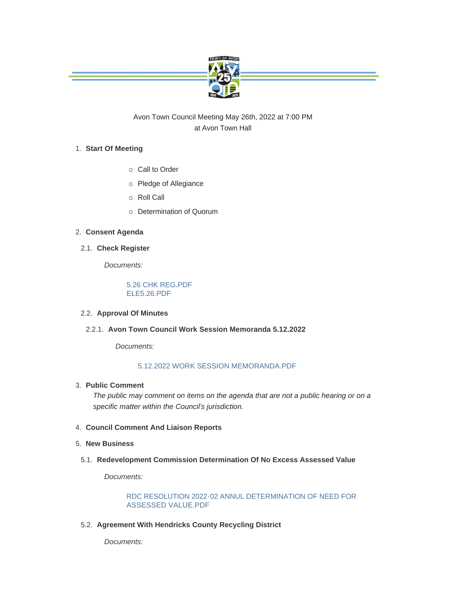

Avon Town Council Meeting May 26th, 2022 at 7:00 PM at Avon Town Hall

# **Start Of Meeting** 1.

- o Call to Order
- o Pledge of Allegiance
- o Roll Call
- ¡ Determination of Quorum

## **Consent Agenda** 2.

**Check Register** 2.1.

*Documents:*

[5.26 CHK REG.PDF](https://www.avongov.org/AgendaCenter/ViewFile/Item/450?fileID=410) [ELE5.26.PDF](https://www.avongov.org/AgendaCenter/ViewFile/Item/450?fileID=411)

## **Approval Of Minutes** 2.2.

**Avon Town Council Work Session Memoranda 5.12.2022** 2.2.1.

*Documents:*

#### [5.12.2022 WORK SESSION MEMORANDA.PDF](https://www.avongov.org/AgendaCenter/ViewFile/Item/541?fileID=386)

## **Public Comment** 3.

*The public may comment on items on the agenda that are not a public hearing or on a specific matter within the Council's jurisdiction.*

- **Council Comment And Liaison Reports** 4.
- **New Business** 5.
- **Redevelopment Commission Determination Of No Excess Assessed Value** 5.1.

*Documents:*

[RDC RESOLUTION 2022-02 ANNUL DETERMINATION OF NEED FOR](https://www.avongov.org/AgendaCenter/ViewFile/Item/542?fileID=418)  ASSESSED VALUE.PDF

**Agreement With Hendricks County Recycling District** 5.2.

*Documents:*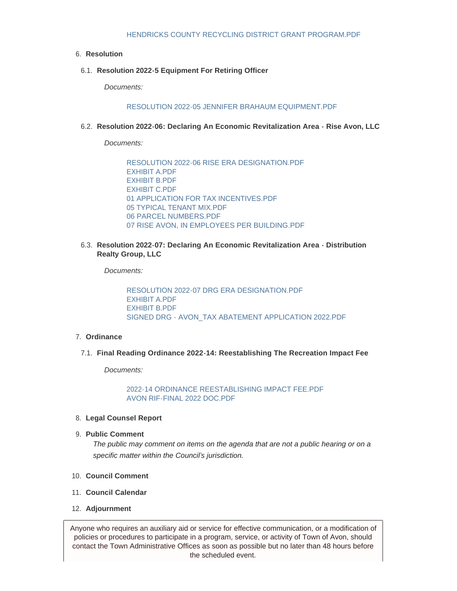#### **Resolution** 6.

**Resolution 2022-5 Equipment For Retiring Officer** 6.1.

*Documents:*

[RESOLUTION 2022-05 JENNIFER BRAHAUM EQUIPMENT.PDF](https://www.avongov.org/AgendaCenter/ViewFile/Item/544?fileID=422)

**Resolution 2022-06: Declaring An Economic Revitalization Area - Rise Avon, LLC** 6.2.

*Documents:*

[RESOLUTION 2022-06 RISE ERA DESIGNATION.PDF](https://www.avongov.org/AgendaCenter/ViewFile/Item/545?fileID=402) [EXHIBIT A.PDF](https://www.avongov.org/AgendaCenter/ViewFile/Item/545?fileID=403) [EXHIBIT B.PDF](https://www.avongov.org/AgendaCenter/ViewFile/Item/545?fileID=426) [EXHIBIT C.PDF](https://www.avongov.org/AgendaCenter/ViewFile/Item/545?fileID=405) [01 APPLICATION FOR TAX INCENTIVES.PDF](https://www.avongov.org/AgendaCenter/ViewFile/Item/545?fileID=406) [05 TYPICAL TENANT MIX.PDF](https://www.avongov.org/AgendaCenter/ViewFile/Item/545?fileID=407) [06 PARCEL NUMBERS.PDF](https://www.avongov.org/AgendaCenter/ViewFile/Item/545?fileID=408) [07 RISE AVON, IN EMPLOYEES PER BUILDING.PDF](https://www.avongov.org/AgendaCenter/ViewFile/Item/545?fileID=409)

**Resolution 2022-07: Declaring An Economic Revitalization Area - Distribution**  6.3. **Realty Group, LLC**

*Documents:*

[RESOLUTION 2022-07 DRG ERA DESIGNATION.PDF](https://www.avongov.org/AgendaCenter/ViewFile/Item/547?fileID=412) [EXHIBIT A.PDF](https://www.avongov.org/AgendaCenter/ViewFile/Item/547?fileID=413) [EXHIBIT B.PDF](https://www.avongov.org/AgendaCenter/ViewFile/Item/547?fileID=414) [SIGNED DRG - AVON\\_TAX ABATEMENT APPLICATION 2022.PDF](https://www.avongov.org/AgendaCenter/ViewFile/Item/547?fileID=415)

#### **Ordinance** 7.

**Final Reading Ordinance 2022-14: Reestablishing The Recreation Impact Fee** 7.1.

*Documents:*

[2022-14 ORDINANCE REESTABLISHING IMPACT FEE.PDF](https://www.avongov.org/AgendaCenter/ViewFile/Item/548?fileID=419) [AVON RIF-FINAL 2022 DOC.PDF](https://www.avongov.org/AgendaCenter/ViewFile/Item/548?fileID=420)

#### **Legal Counsel Report** 8.

**Public Comment** 9.

*The public may comment on items on the agenda that are not a public hearing or on a specific matter within the Council's jurisdiction.*

- **Council Comment** 10.
- **Council Calendar** 11.
- **Adjournment** 12.

Anyone who requires an auxiliary aid or service for effective communication, or a modification of policies or procedures to participate in a program, service, or activity of Town of Avon, should contact the Town Administrative Offices as soon as possible but no later than 48 hours before the scheduled event.